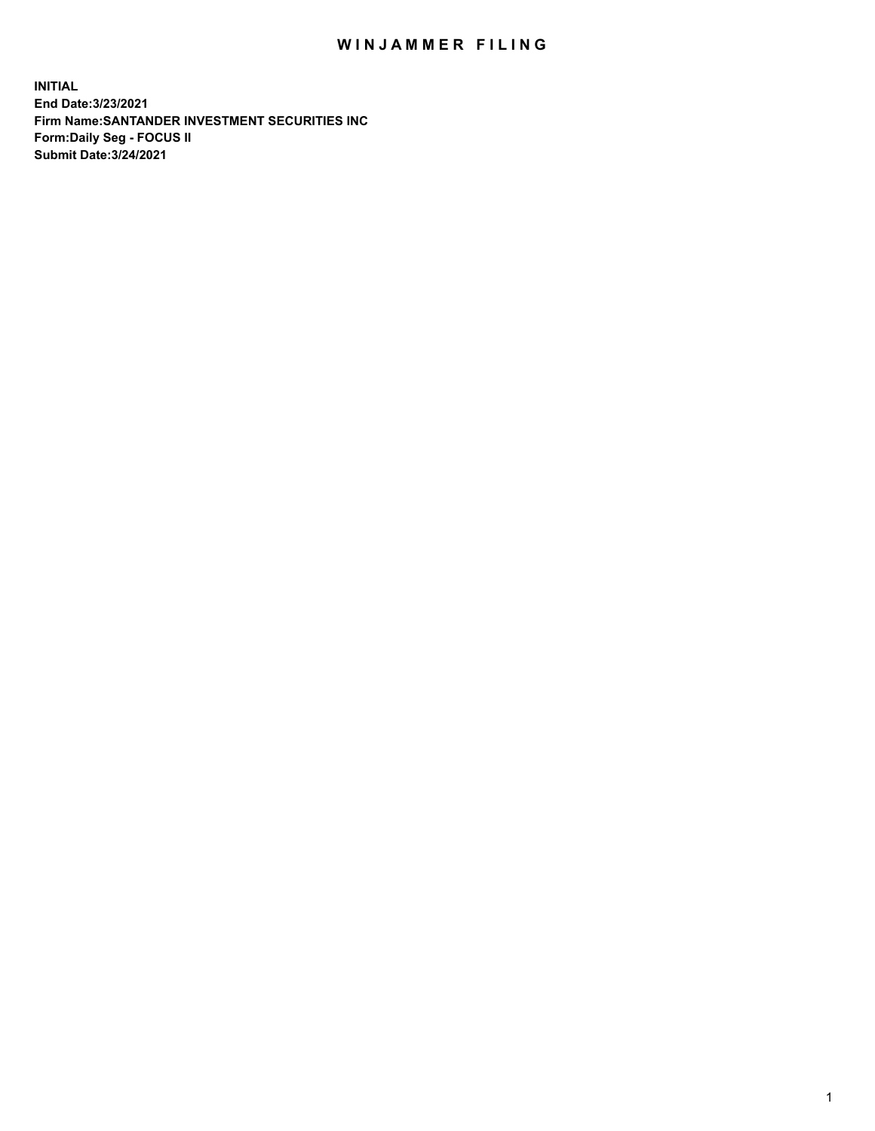## WIN JAMMER FILING

**INITIAL End Date:3/23/2021 Firm Name:SANTANDER INVESTMENT SECURITIES INC Form:Daily Seg - FOCUS II Submit Date:3/24/2021**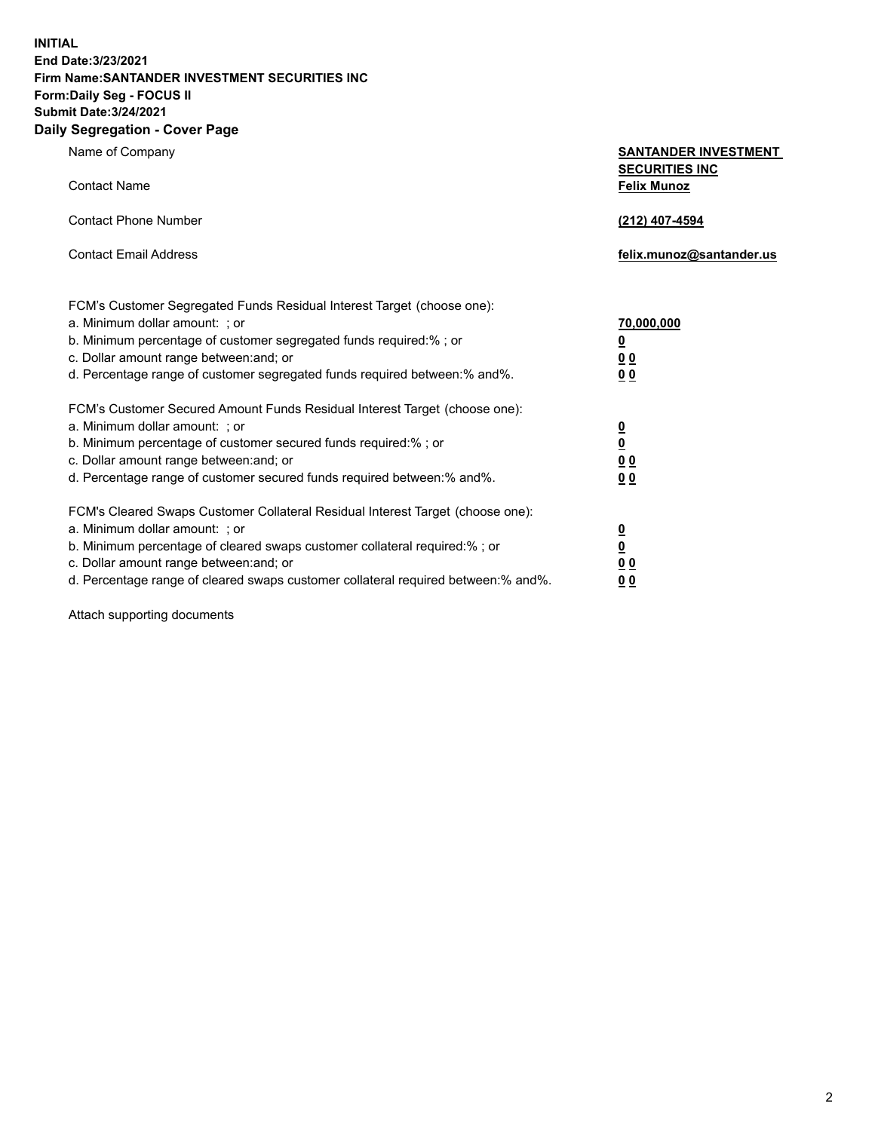**INITIAL End Date:3/23/2021 Firm Name:SANTANDER INVESTMENT SECURITIES INC Form:Daily Seg - FOCUS II Submit Date:3/24/2021 Daily Segregation - Cover Page**

| Name of Company                                                                   | <b>SANTANDER INVESTMENT</b><br><b>SECURITIES INC</b> |
|-----------------------------------------------------------------------------------|------------------------------------------------------|
| <b>Contact Name</b>                                                               | <b>Felix Munoz</b>                                   |
| <b>Contact Phone Number</b>                                                       | (212) 407-4594                                       |
| <b>Contact Email Address</b>                                                      | felix.munoz@santander.us                             |
| FCM's Customer Segregated Funds Residual Interest Target (choose one):            |                                                      |
| a. Minimum dollar amount: ; or                                                    | 70,000,000                                           |
| b. Minimum percentage of customer segregated funds required:%; or                 | <u>0</u>                                             |
| c. Dollar amount range between: and; or                                           | 0 <sub>0</sub>                                       |
| d. Percentage range of customer segregated funds required between:% and%.         | 0 <sub>0</sub>                                       |
| FCM's Customer Secured Amount Funds Residual Interest Target (choose one):        |                                                      |
| a. Minimum dollar amount: ; or                                                    | $\frac{0}{0}$                                        |
| b. Minimum percentage of customer secured funds required:%; or                    |                                                      |
| c. Dollar amount range between: and; or                                           | 0 <sub>0</sub>                                       |
| d. Percentage range of customer secured funds required between:% and%.            | 0 <sub>0</sub>                                       |
| FCM's Cleared Swaps Customer Collateral Residual Interest Target (choose one):    |                                                      |
| a. Minimum dollar amount: ; or                                                    | $\overline{\mathbf{0}}$                              |
| b. Minimum percentage of cleared swaps customer collateral required:% ; or        | $\underline{\mathbf{0}}$                             |
| c. Dollar amount range between: and; or                                           | 0 <sub>0</sub>                                       |
| d. Percentage range of cleared swaps customer collateral required between:% and%. | <u>00</u>                                            |

Attach supporting documents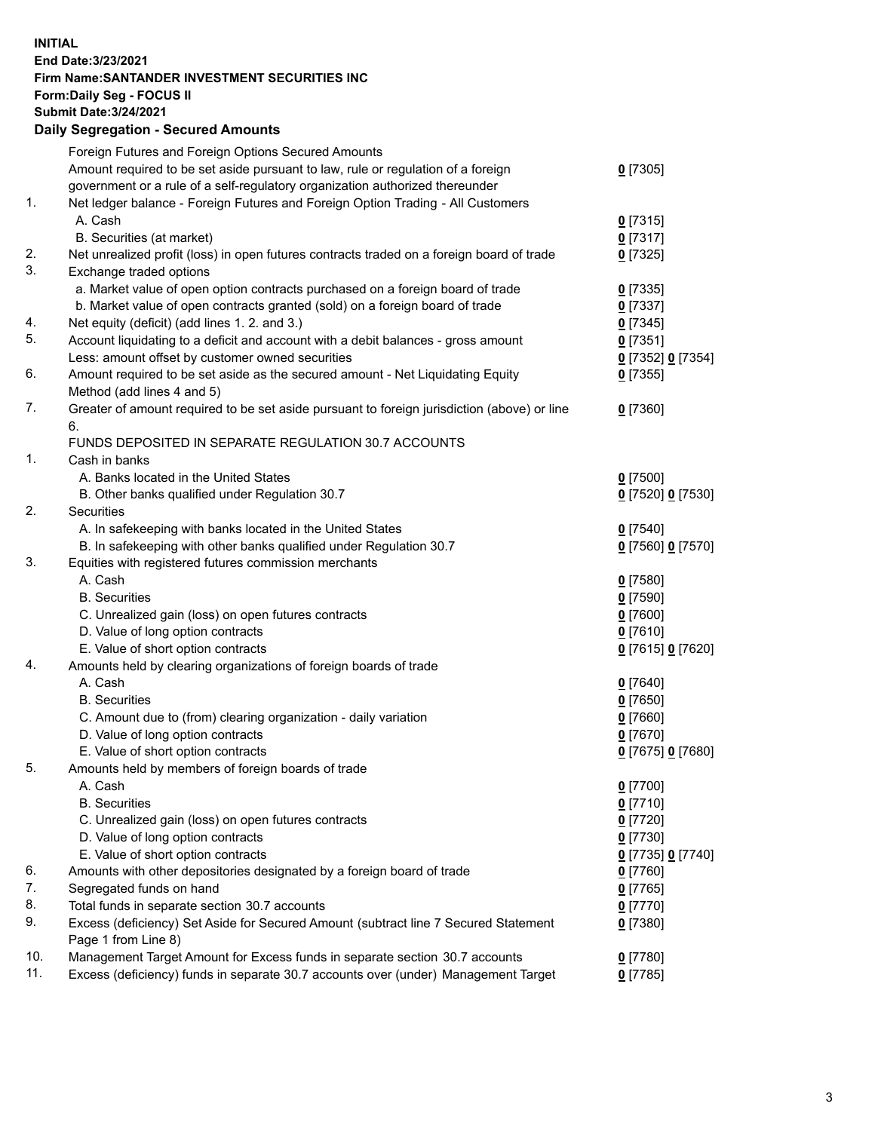**INITIAL End Date:3/23/2021 Firm Name:SANTANDER INVESTMENT SECURITIES INC Form:Daily Seg - FOCUS II Submit Date:3/24/2021 Daily Segregation - Secured Amounts**

|     | Foreign Futures and Foreign Options Secured Amounts                                         |                   |
|-----|---------------------------------------------------------------------------------------------|-------------------|
|     | Amount required to be set aside pursuant to law, rule or regulation of a foreign            | $0$ [7305]        |
|     | government or a rule of a self-regulatory organization authorized thereunder                |                   |
| 1.  | Net ledger balance - Foreign Futures and Foreign Option Trading - All Customers             |                   |
|     | A. Cash                                                                                     | $0$ [7315]        |
|     | B. Securities (at market)                                                                   | $0$ [7317]        |
| 2.  | Net unrealized profit (loss) in open futures contracts traded on a foreign board of trade   | $0$ [7325]        |
| 3.  | Exchange traded options                                                                     |                   |
|     | a. Market value of open option contracts purchased on a foreign board of trade              | $0$ [7335]        |
|     | b. Market value of open contracts granted (sold) on a foreign board of trade                | $0$ [7337]        |
| 4.  | Net equity (deficit) (add lines 1. 2. and 3.)                                               | $0$ [7345]        |
| 5.  | Account liquidating to a deficit and account with a debit balances - gross amount           | $0$ [7351]        |
|     | Less: amount offset by customer owned securities                                            | 0 [7352] 0 [7354] |
| 6.  | Amount required to be set aside as the secured amount - Net Liquidating Equity              | $0$ [7355]        |
|     | Method (add lines 4 and 5)                                                                  |                   |
| 7.  | Greater of amount required to be set aside pursuant to foreign jurisdiction (above) or line | $0$ [7360]        |
|     | 6.                                                                                          |                   |
|     | FUNDS DEPOSITED IN SEPARATE REGULATION 30.7 ACCOUNTS                                        |                   |
| 1.  | Cash in banks                                                                               |                   |
|     | A. Banks located in the United States                                                       | $0$ [7500]        |
|     | B. Other banks qualified under Regulation 30.7                                              | 0 [7520] 0 [7530] |
| 2.  | Securities                                                                                  |                   |
|     | A. In safekeeping with banks located in the United States                                   | $0$ [7540]        |
|     | B. In safekeeping with other banks qualified under Regulation 30.7                          | 0 [7560] 0 [7570] |
| 3.  | Equities with registered futures commission merchants                                       |                   |
|     | A. Cash                                                                                     | $0$ [7580]        |
|     | <b>B.</b> Securities                                                                        | $0$ [7590]        |
|     | C. Unrealized gain (loss) on open futures contracts                                         | $0$ [7600]        |
|     | D. Value of long option contracts                                                           | $0$ [7610]        |
|     | E. Value of short option contracts                                                          | 0 [7615] 0 [7620] |
| 4.  | Amounts held by clearing organizations of foreign boards of trade                           |                   |
|     | A. Cash                                                                                     | $0$ [7640]        |
|     | <b>B.</b> Securities                                                                        | $0$ [7650]        |
|     | C. Amount due to (from) clearing organization - daily variation                             | $0$ [7660]        |
|     | D. Value of long option contracts                                                           | $0$ [7670]        |
|     | E. Value of short option contracts                                                          | 0 [7675] 0 [7680] |
| 5.  | Amounts held by members of foreign boards of trade                                          |                   |
|     | A. Cash                                                                                     | $0$ [7700]        |
|     | <b>B.</b> Securities                                                                        | $0$ [7710]        |
|     | C. Unrealized gain (loss) on open futures contracts                                         | $0$ [7720]        |
|     | D. Value of long option contracts                                                           | $0$ [7730]        |
|     | E. Value of short option contracts                                                          | 0 [7735] 0 [7740] |
| 6.  | Amounts with other depositories designated by a foreign board of trade                      | $0$ [7760]        |
| 7.  | Segregated funds on hand                                                                    | $0$ [7765]        |
| 8.  | Total funds in separate section 30.7 accounts                                               | $0$ [7770]        |
| 9.  | Excess (deficiency) Set Aside for Secured Amount (subtract line 7 Secured Statement         | $0$ [7380]        |
|     | Page 1 from Line 8)                                                                         |                   |
| 10. | Management Target Amount for Excess funds in separate section 30.7 accounts                 | $0$ [7780]        |
| 11. | Excess (deficiency) funds in separate 30.7 accounts over (under) Management Target          | $0$ [7785]        |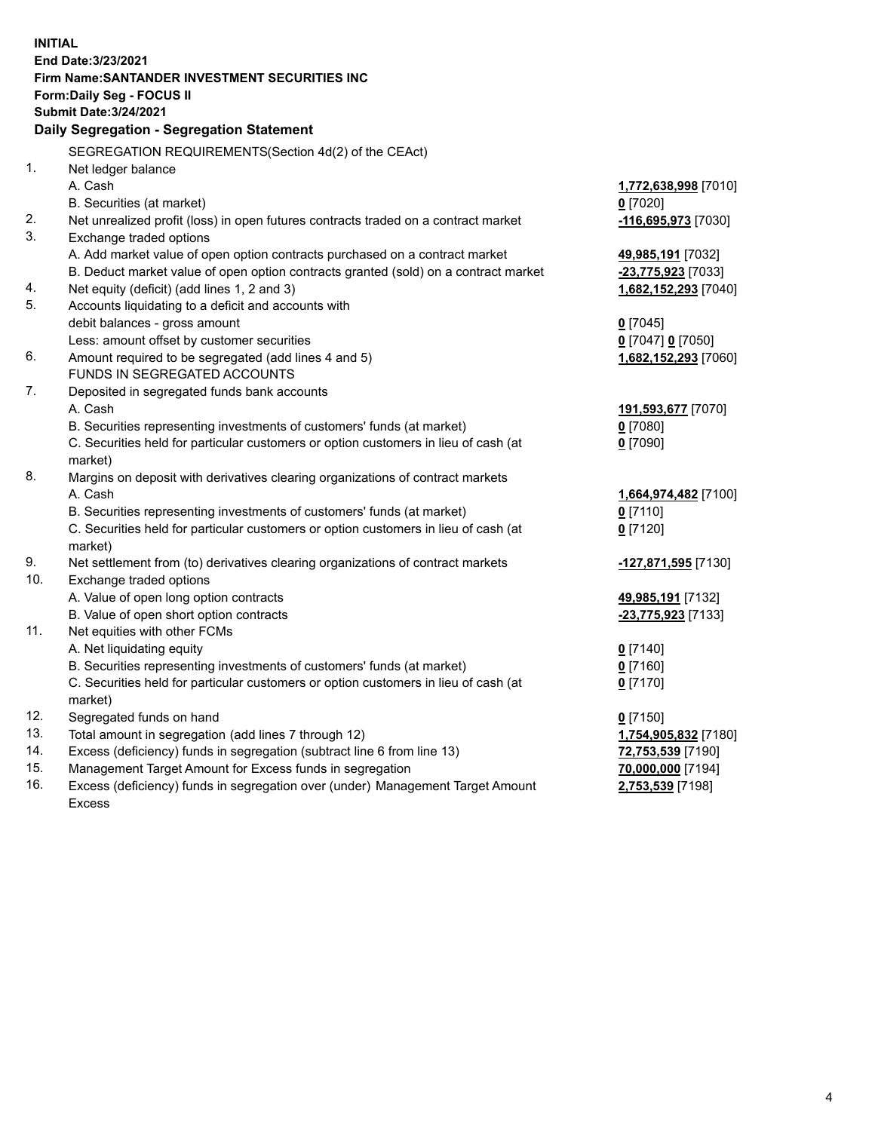| End Date: 3/23/2021<br>Firm Name: SANTANDER INVESTMENT SECURITIES INC<br><b>Form:Daily Seg - FOCUS II</b><br><b>Submit Date: 3/24/2021</b><br>Daily Segregation - Segregation Statement<br>SEGREGATION REQUIREMENTS(Section 4d(2) of the CEAct)<br>1.<br>Net ledger balance<br>A. Cash<br>1,772,638,998 [7010]<br>B. Securities (at market)<br>$0$ [7020]<br>2.<br>Net unrealized profit (loss) in open futures contracts traded on a contract market<br>-116,695,973 [7030]<br>3.<br>Exchange traded options<br>A. Add market value of open option contracts purchased on a contract market<br>49,985,191 [7032]<br>B. Deduct market value of open option contracts granted (sold) on a contract market<br>-23,775,923 [7033]<br>4.<br>Net equity (deficit) (add lines 1, 2 and 3)<br>1,682,152,293 [7040]<br>5.<br>Accounts liquidating to a deficit and accounts with<br>debit balances - gross amount<br>$0$ [7045]<br>Less: amount offset by customer securities<br>0 [7047] 0 [7050] |
|--------------------------------------------------------------------------------------------------------------------------------------------------------------------------------------------------------------------------------------------------------------------------------------------------------------------------------------------------------------------------------------------------------------------------------------------------------------------------------------------------------------------------------------------------------------------------------------------------------------------------------------------------------------------------------------------------------------------------------------------------------------------------------------------------------------------------------------------------------------------------------------------------------------------------------------------------------------------------------------------|
|                                                                                                                                                                                                                                                                                                                                                                                                                                                                                                                                                                                                                                                                                                                                                                                                                                                                                                                                                                                            |
|                                                                                                                                                                                                                                                                                                                                                                                                                                                                                                                                                                                                                                                                                                                                                                                                                                                                                                                                                                                            |
|                                                                                                                                                                                                                                                                                                                                                                                                                                                                                                                                                                                                                                                                                                                                                                                                                                                                                                                                                                                            |
|                                                                                                                                                                                                                                                                                                                                                                                                                                                                                                                                                                                                                                                                                                                                                                                                                                                                                                                                                                                            |
|                                                                                                                                                                                                                                                                                                                                                                                                                                                                                                                                                                                                                                                                                                                                                                                                                                                                                                                                                                                            |
|                                                                                                                                                                                                                                                                                                                                                                                                                                                                                                                                                                                                                                                                                                                                                                                                                                                                                                                                                                                            |
|                                                                                                                                                                                                                                                                                                                                                                                                                                                                                                                                                                                                                                                                                                                                                                                                                                                                                                                                                                                            |
|                                                                                                                                                                                                                                                                                                                                                                                                                                                                                                                                                                                                                                                                                                                                                                                                                                                                                                                                                                                            |
|                                                                                                                                                                                                                                                                                                                                                                                                                                                                                                                                                                                                                                                                                                                                                                                                                                                                                                                                                                                            |
|                                                                                                                                                                                                                                                                                                                                                                                                                                                                                                                                                                                                                                                                                                                                                                                                                                                                                                                                                                                            |
|                                                                                                                                                                                                                                                                                                                                                                                                                                                                                                                                                                                                                                                                                                                                                                                                                                                                                                                                                                                            |
|                                                                                                                                                                                                                                                                                                                                                                                                                                                                                                                                                                                                                                                                                                                                                                                                                                                                                                                                                                                            |
|                                                                                                                                                                                                                                                                                                                                                                                                                                                                                                                                                                                                                                                                                                                                                                                                                                                                                                                                                                                            |
|                                                                                                                                                                                                                                                                                                                                                                                                                                                                                                                                                                                                                                                                                                                                                                                                                                                                                                                                                                                            |
|                                                                                                                                                                                                                                                                                                                                                                                                                                                                                                                                                                                                                                                                                                                                                                                                                                                                                                                                                                                            |
|                                                                                                                                                                                                                                                                                                                                                                                                                                                                                                                                                                                                                                                                                                                                                                                                                                                                                                                                                                                            |
|                                                                                                                                                                                                                                                                                                                                                                                                                                                                                                                                                                                                                                                                                                                                                                                                                                                                                                                                                                                            |
| 6.<br>Amount required to be segregated (add lines 4 and 5)<br>1,682,152,293 [7060]                                                                                                                                                                                                                                                                                                                                                                                                                                                                                                                                                                                                                                                                                                                                                                                                                                                                                                         |
| FUNDS IN SEGREGATED ACCOUNTS                                                                                                                                                                                                                                                                                                                                                                                                                                                                                                                                                                                                                                                                                                                                                                                                                                                                                                                                                               |
| 7.<br>Deposited in segregated funds bank accounts                                                                                                                                                                                                                                                                                                                                                                                                                                                                                                                                                                                                                                                                                                                                                                                                                                                                                                                                          |
| A. Cash<br>191,593,677 [7070]                                                                                                                                                                                                                                                                                                                                                                                                                                                                                                                                                                                                                                                                                                                                                                                                                                                                                                                                                              |
| B. Securities representing investments of customers' funds (at market)<br>$0$ [7080]                                                                                                                                                                                                                                                                                                                                                                                                                                                                                                                                                                                                                                                                                                                                                                                                                                                                                                       |
| C. Securities held for particular customers or option customers in lieu of cash (at<br>$0$ [7090]                                                                                                                                                                                                                                                                                                                                                                                                                                                                                                                                                                                                                                                                                                                                                                                                                                                                                          |
| market)                                                                                                                                                                                                                                                                                                                                                                                                                                                                                                                                                                                                                                                                                                                                                                                                                                                                                                                                                                                    |
| 8.<br>Margins on deposit with derivatives clearing organizations of contract markets                                                                                                                                                                                                                                                                                                                                                                                                                                                                                                                                                                                                                                                                                                                                                                                                                                                                                                       |
| A. Cash<br>1,664,974,482 [7100]                                                                                                                                                                                                                                                                                                                                                                                                                                                                                                                                                                                                                                                                                                                                                                                                                                                                                                                                                            |
| B. Securities representing investments of customers' funds (at market)<br>$0$ [7110]                                                                                                                                                                                                                                                                                                                                                                                                                                                                                                                                                                                                                                                                                                                                                                                                                                                                                                       |
| C. Securities held for particular customers or option customers in lieu of cash (at<br>$0$ [7120]                                                                                                                                                                                                                                                                                                                                                                                                                                                                                                                                                                                                                                                                                                                                                                                                                                                                                          |
| market)                                                                                                                                                                                                                                                                                                                                                                                                                                                                                                                                                                                                                                                                                                                                                                                                                                                                                                                                                                                    |
| 9.<br>Net settlement from (to) derivatives clearing organizations of contract markets<br>-127,871,595 [7130]                                                                                                                                                                                                                                                                                                                                                                                                                                                                                                                                                                                                                                                                                                                                                                                                                                                                               |
| 10.<br>Exchange traded options                                                                                                                                                                                                                                                                                                                                                                                                                                                                                                                                                                                                                                                                                                                                                                                                                                                                                                                                                             |
| A. Value of open long option contracts<br>49,985,191 [7132]                                                                                                                                                                                                                                                                                                                                                                                                                                                                                                                                                                                                                                                                                                                                                                                                                                                                                                                                |
| B. Value of open short option contracts<br>-23,775,923 [7133]<br>11.<br>Net equities with other FCMs                                                                                                                                                                                                                                                                                                                                                                                                                                                                                                                                                                                                                                                                                                                                                                                                                                                                                       |
| A. Net liquidating equity<br>$0$ [7140]                                                                                                                                                                                                                                                                                                                                                                                                                                                                                                                                                                                                                                                                                                                                                                                                                                                                                                                                                    |
| B. Securities representing investments of customers' funds (at market)<br>$0$ [7160]                                                                                                                                                                                                                                                                                                                                                                                                                                                                                                                                                                                                                                                                                                                                                                                                                                                                                                       |
| C. Securities held for particular customers or option customers in lieu of cash (at<br>$0$ [7170]                                                                                                                                                                                                                                                                                                                                                                                                                                                                                                                                                                                                                                                                                                                                                                                                                                                                                          |
| market)                                                                                                                                                                                                                                                                                                                                                                                                                                                                                                                                                                                                                                                                                                                                                                                                                                                                                                                                                                                    |
| 12.<br>Segregated funds on hand<br>$0$ [7150]                                                                                                                                                                                                                                                                                                                                                                                                                                                                                                                                                                                                                                                                                                                                                                                                                                                                                                                                              |
| 13.<br>Total amount in segregation (add lines 7 through 12)<br>1,754,905,832 [7180]                                                                                                                                                                                                                                                                                                                                                                                                                                                                                                                                                                                                                                                                                                                                                                                                                                                                                                        |
| 14.<br>Excess (deficiency) funds in segregation (subtract line 6 from line 13)<br>72,753,539 [7190]                                                                                                                                                                                                                                                                                                                                                                                                                                                                                                                                                                                                                                                                                                                                                                                                                                                                                        |
| 15.<br>Management Target Amount for Excess funds in segregation<br>70,000,000 [7194]                                                                                                                                                                                                                                                                                                                                                                                                                                                                                                                                                                                                                                                                                                                                                                                                                                                                                                       |
| 16.<br>Excess (deficiency) funds in segregation over (under) Management Target Amount<br>2,753,539 [7198]                                                                                                                                                                                                                                                                                                                                                                                                                                                                                                                                                                                                                                                                                                                                                                                                                                                                                  |
| <b>Excess</b>                                                                                                                                                                                                                                                                                                                                                                                                                                                                                                                                                                                                                                                                                                                                                                                                                                                                                                                                                                              |